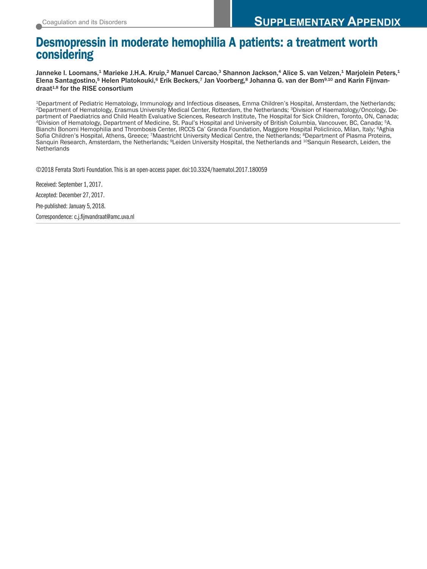# **Desmopressin in moderate hemophilia A patients: a treatment worth considering**

Janneke I. Loomans,<sup>1</sup> Marieke J.H.A. Kruip,<sup>2</sup> Manuel Carcao,<sup>3</sup> Shannon Jackson,<sup>4</sup> Alice S. van Velzen,<sup>1</sup> Marjolein Peters,<sup>1</sup> Elena Santagostino,<sup>5</sup> Helen Platokouki,<sup>6</sup> Erik Beckers,<sup>7</sup> Jan Voorberg,<sup>8</sup> Johanna G. van der Bom<sup>9,10</sup> and Karin Fijnvandraat<sup>1,8</sup> for the RISE consortium

<sup>1</sup>Department of Pediatric Hematology, Immunology and Infectious diseases, Emma Children's Hospital, Amsterdam, the Netherlands;<br><sup>2</sup>Department of Hematology, Erasmus University Medical Center, Rotterdam, the Netherlands; <sup></sup> partment of Paediatrics and Child Health Evaluative Sciences, Research Institute, The Hospital for Sick Children, Toronto, ON, Canada;<br><sup>4</sup>Division of Hematology, Department of Medicine, St. Paul's Hospital and University o Bianchi Bonomi Hemophilia and Thrombosis Center, IRCCS Ca' Granda Foundation, Maggiore Hospital Policlinico, Milan, Italy; <sup>6</sup>Aghia Sofia Children's Hospital, Athens, Greece; 7Maastricht University Medical Centre, the Netherlands; <sup>8</sup>Department of Plasma Proteins, Sanquin Research, Amsterdam, the Netherlands; <sup>9</sup>Leiden University Hospital, the Netherlands and <sup>10</sup>Sanquin Research, Leiden, the **Netherlands** 

©2018 Ferrata Storti Foundation.This is an open-access paper. doi:10.3324/haematol.2017.180059

Received: September 1, 2017.

Accepted: December 27, 2017.

Pre-published: January 5, 2018.

Correspondence: c.j.fijnvandraat@amc.uva.nl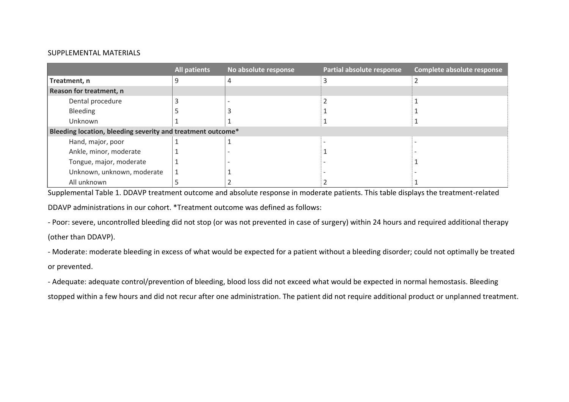## SUPPLEMENTAL MATERIALS

|                                                             | <b>All patients</b> | No absolute response | Partial absolute response | Complete absolute response |
|-------------------------------------------------------------|---------------------|----------------------|---------------------------|----------------------------|
| Treatment, n                                                |                     |                      |                           |                            |
| Reason for treatment, n                                     |                     |                      |                           |                            |
| Dental procedure                                            |                     |                      |                           |                            |
| Bleeding                                                    |                     |                      |                           |                            |
| Unknown                                                     |                     |                      |                           |                            |
| Bleeding location, bleeding severity and treatment outcome* |                     |                      |                           |                            |
| Hand, major, poor                                           |                     |                      |                           |                            |
| Ankle, minor, moderate                                      |                     |                      |                           |                            |
| Tongue, major, moderate                                     |                     |                      |                           |                            |
| Unknown, unknown, moderate                                  |                     |                      |                           |                            |
| All unknown                                                 |                     |                      |                           |                            |

Supplemental Table 1. DDAVP treatment outcome and absolute response in moderate patients. This table displays the treatment-related DDAVP administrations in our cohort. \*Treatment outcome was defined as follows:

- Poor: severe, uncontrolled bleeding did not stop (or was not prevented in case of surgery) within 24 hours and required additional therapy (other than DDAVP).

- Moderate: moderate bleeding in excess of what would be expected for a patient without a bleeding disorder; could not optimally be treated or prevented.

- Adequate: adequate control/prevention of bleeding, blood loss did not exceed what would be expected in normal hemostasis. Bleeding stopped within a few hours and did not recur after one administration. The patient did not require additional product or unplanned treatment.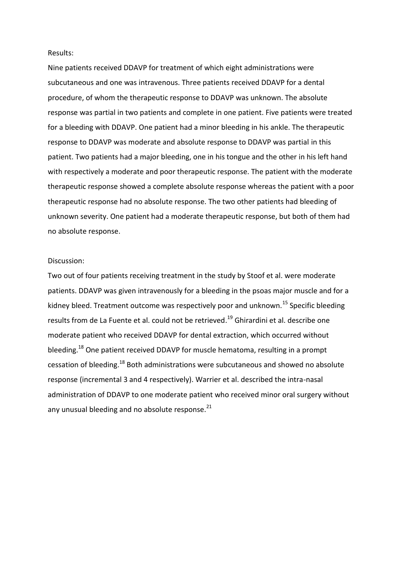#### Results:

Nine patients received DDAVP for treatment of which eight administrations were subcutaneous and one was intravenous. Three patients received DDAVP for a dental procedure, of whom the therapeutic response to DDAVP was unknown. The absolute response was partial in two patients and complete in one patient. Five patients were treated for a bleeding with DDAVP. One patient had a minor bleeding in his ankle. The therapeutic response to DDAVP was moderate and absolute response to DDAVP was partial in this patient. Two patients had a major bleeding, one in his tongue and the other in his left hand with respectively a moderate and poor therapeutic response. The patient with the moderate therapeutic response showed a complete absolute response whereas the patient with a poor therapeutic response had no absolute response. The two other patients had bleeding of unknown severity. One patient had a moderate therapeutic response, but both of them had no absolute response.

#### Discussion:

Two out of four patients receiving treatment in the study by Stoof et al. were moderate patients. DDAVP was given intravenously for a bleeding in the psoas major muscle and for a kidney bleed. Treatment outcome was respectively poor and unknown.<sup>15</sup> Specific bleeding results from de La Fuente et al. could not be retrieved.<sup>19</sup> Ghirardini et al. describe one moderate patient who received DDAVP for dental extraction, which occurred without bleeding.<sup>18</sup> One patient received DDAVP for muscle hematoma, resulting in a prompt cessation of bleeding.<sup>18</sup> Both administrations were subcutaneous and showed no absolute response (incremental 3 and 4 respectively). Warrier et al. described the intra-nasal administration of DDAVP to one moderate patient who received minor oral surgery without any unusual bleeding and no absolute response. $^{21}$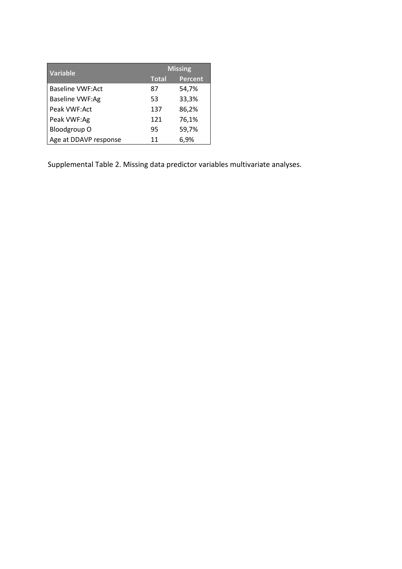| Variable                | <b>Missing</b> |         |  |
|-------------------------|----------------|---------|--|
|                         | <b>Total</b>   | Percent |  |
| <b>Baseline VWF:Act</b> | 87             | 54,7%   |  |
| <b>Baseline VWF:Ag</b>  | 53             | 33,3%   |  |
| Peak VWF:Act            | 137            | 86,2%   |  |
| Peak VWF:Ag             | 121            | 76,1%   |  |
| Bloodgroup O            | 95             | 59,7%   |  |
| Age at DDAVP response   | 11             | 6,9%    |  |

Supplemental Table 2. Missing data predictor variables multivariate analyses.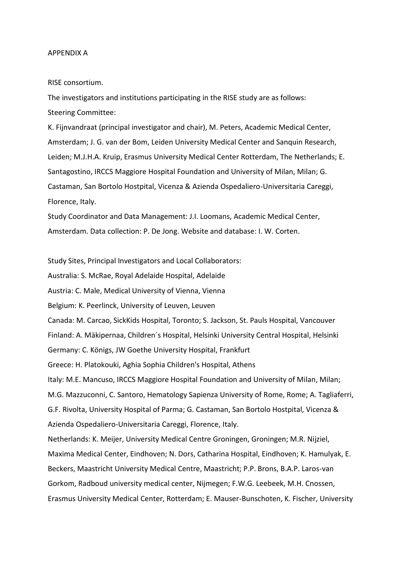#### APPENDIX A

### RISE consortium.

The investigators and institutions participating in the RISE study are as follows: Steering Committee:

K. Fijnvandraat (principal investigator and chair), M. Peters, Academic Medical Center, Amsterdam; J. G. van der Bom, Leiden University Medical Center and Sanquin Research, Leiden; M.J.H.A. Kruip, Erasmus University Medical Center Rotterdam, The Netherlands; E. Santagostino, IRCCS Maggiore Hospital Foundation and University of Milan, Milan; G. Castaman, San Bortolo Hostpital, Vicenza & Azienda Ospedaliero-Universitaria Careggi, Florence, Italy.

Study Coordinator and Data Management: J.I. Loomans, Academic Medical Center, Amsterdam. Data collection: P. De Jong. Website and database: I. W. Corten.

Study Sites, Principal Investigators and Local Collaborators:

Australia: S. McRae, Royal Adelaide Hospital, Adelaide

Austria: C. Male, Medical University of Vienna, Vienna

Belgium: K. Peerlinck, University of Leuven, Leuven

Canada: M. Carcao, SickKids Hospital, Toronto; S. Jackson, St. Pauls Hospital, Vancouver

Finland: A. Mäkipernaa, Children´s Hospital, Helsinki University Central Hospital, Helsinki

Germany: C. Königs, JW Goethe University Hospital, Frankfurt

Greece: H. Platokouki, Aghia Sophia Children's Hospital, Athens

Italy: M.E. Mancuso, IRCCS Maggiore Hospital Foundation and University of Milan, Milan; M.G. Mazzuconni, C. Santoro, Hematology Sapienza University of Rome, Rome; A. Tagliaferri, G.F. Rivolta, University Hospital of Parma; G. Castaman, San Bortolo Hostpital, Vicenza & Azienda Ospedaliero-Universitaria Careggi, Florence, Italy. Netherlands: K. Meijer, University Medical Centre Groningen, Groningen; M.R. Nijziel, Maxima Medical Center, Eindhoven; N. Dors, Catharina Hospital, Eindhoven; K. Hamulyak, E. Beckers, Maastricht University Medical Centre, Maastricht; P.P. Brons, B.A.P. Laros-van

Gorkom, Radboud university medical center, Nijmegen; F.W.G. Leebeek, M.H. Cnossen,

Erasmus University Medical Center, Rotterdam; E. Mauser-Bunschoten, K. Fischer, University